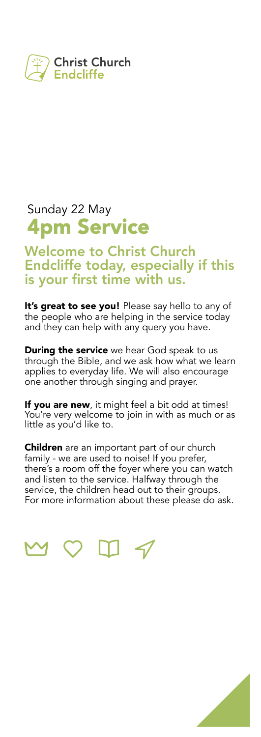

### Sunday 22 May **4pm Service**

**Welcome to Christ Church Endcliffe today, especially if this is your first time with us.**

**It's great to see you!** Please say hello to any of the people who are helping in the service today and they can help with any query you have.

**During the service** we hear God speak to us through the Bible, and we ask how what we learn applies to everyday life. We will also encourage one another through singing and prayer.

**If you are new**, it might feel a bit odd at times! You're very welcome to join in with as much or as little as you'd like to.

**Children** are an important part of our church family - we are used to noise! If you prefer, there's a room off the foyer where you can watch and listen to the service. Halfway through the service, the children head out to their groups. For more information about these please do ask.



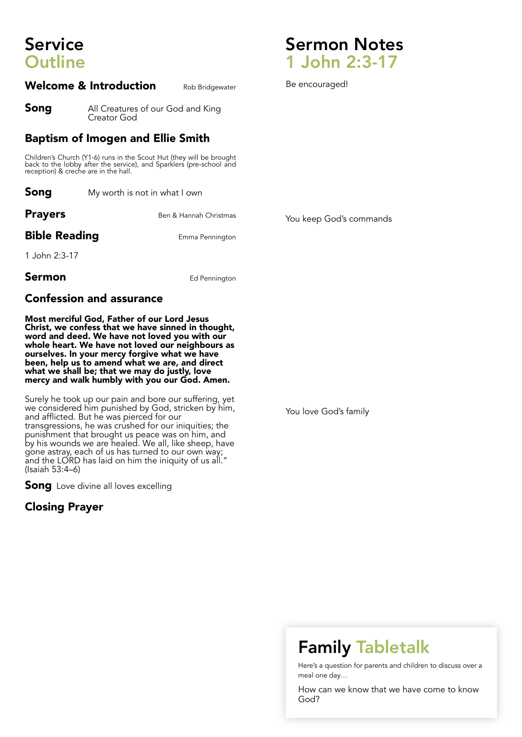# **Service Outline**

#### **Welcome & Introduction** Rob Bridgewater

**Song** All Creatures of our God and King Creator God

#### **Baptism of Imogen and Ellie Smith**

Children's Church (Y1-6) runs in the Scout Hut (they will be brought back to the lobby after the service), and Sparklers (pre-school and reception) & creche are in the hall.

| Song           | My worth is not in what I own |  |
|----------------|-------------------------------|--|
| <b>Prayers</b> | Ben & Hannah Christmas        |  |

**Bible Reading** Emma Pennington

You keep God's commands

1 John 2:3-17

**Sermon** Ed Pennington

#### **Confession and assurance**

**Most merciful God, Father of our Lord Jesus Christ, we confess that we have sinned in thought, word and deed. We have not loved you with our whole heart. We have not loved our neighbours as ourselves. In your mercy forgive what we have been, help us to amend what we are, and direct what we shall be; that we may do justly, love mercy and walk humbly with you our God. Amen.**

Surely he took up our pain and bore our suffering, yet we considered him punished by God, stricken by him, and afflicted. But he was pierced for our transgressions, he was crushed for our iniquities; the punishment that brought us peace was on him, and by his wounds we are healed. We all, like sheep, have gone astray, each of us has turned to our own way; and the LORD has laid on him the iniquity of us all." (Isaiah 53:4–6)

**Song** Love divine all loves excelling

#### **Closing Prayer**

You love God's family

## **Family Tabletalk**

Here's a question for parents and children to discuss over a meal one day…

How can we know that we have come to know God?



Be encouraged!